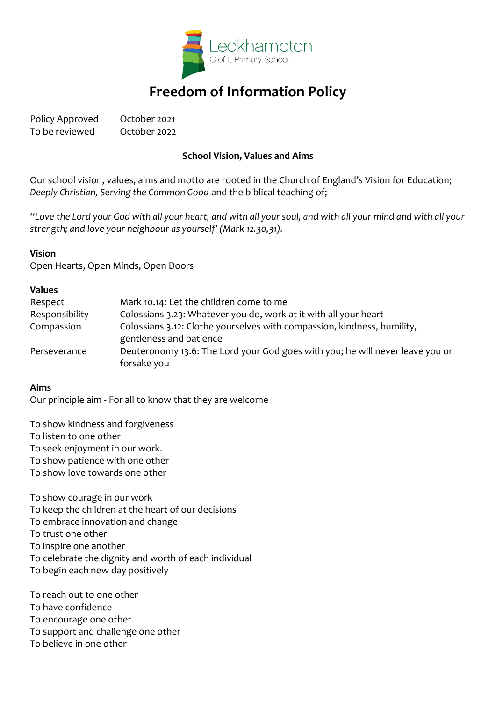

# **Freedom of Information Policy**

Policy Approved October 2021 To be reviewed October 2022

#### **School Vision, Values and Aims**

Our school vision, values, aims and motto are rooted in the Church of England's Vision for Education; *Deeply Christian, Serving the Common Good* and the biblical teaching of;

*"Love the Lord your God with all your heart, and with all your soul, and with all your mind and with all your strength; and love your neighbour as yourself' (Mark 12.30,31).*

#### **Vision**

Open Hearts, Open Minds, Open Doors

#### **Values**

| Respect        | Mark 10.14: Let the children come to me                                                            |
|----------------|----------------------------------------------------------------------------------------------------|
| Responsibility | Colossians 3.23: Whatever you do, work at it with all your heart                                   |
| Compassion     | Colossians 3.12: Clothe yourselves with compassion, kindness, humility,<br>gentleness and patience |
| Perseverance   | Deuteronomy 13.6: The Lord your God goes with you; he will never leave you or<br>forsake you       |

#### **Aims**

Our principle aim - For all to know that they are welcome

To show kindness and forgiveness To listen to one other To seek enjoyment in our work. To show patience with one other To show love towards one other

To show courage in our work To keep the children at the heart of our decisions To embrace innovation and change To trust one other To inspire one another To celebrate the dignity and worth of each individual To begin each new day positively

To reach out to one other To have confidence To encourage one other To support and challenge one other To believe in one other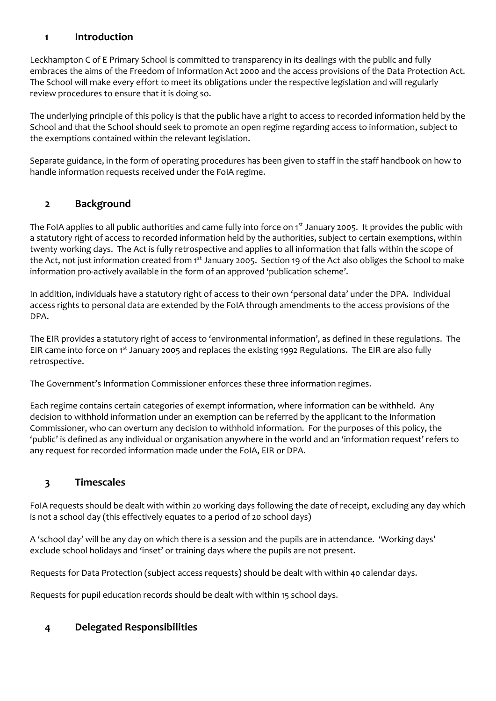### **1 Introduction**

Leckhampton C of E Primary School is committed to transparency in its dealings with the public and fully embraces the aims of the Freedom of Information Act 2000 and the access provisions of the Data Protection Act. The School will make every effort to meet its obligations under the respective legislation and will regularly review procedures to ensure that it is doing so.

The underlying principle of this policy is that the public have a right to access to recorded information held by the School and that the School should seek to promote an open regime regarding access to information, subject to the exemptions contained within the relevant legislation.

Separate guidance, in the form of operating procedures has been given to staff in the staff handbook on how to handle information requests received under the FoIA regime.

# **2 Background**

The FoIA applies to all public authorities and came fully into force on 1<sup>st</sup> January 2005. It provides the public with a statutory right of access to recorded information held by the authorities, subject to certain exemptions, within twenty working days. The Act is fully retrospective and applies to all information that falls within the scope of the Act, not just information created from 1<sup>st</sup> January 2005. Section 19 of the Act also obliges the School to make information pro-actively available in the form of an approved 'publication scheme'.

In addition, individuals have a statutory right of access to their own 'personal data' under the DPA. Individual access rights to personal data are extended by the FoIA through amendments to the access provisions of the DPA.

The EIR provides a statutory right of access to 'environmental information', as defined in these regulations. The EIR came into force on 1<sup>st</sup> January 2005 and replaces the existing 1992 Regulations. The EIR are also fully retrospective.

The Government's Information Commissioner enforces these three information regimes.

Each regime contains certain categories of exempt information, where information can be withheld. Any decision to withhold information under an exemption can be referred by the applicant to the Information Commissioner, who can overturn any decision to withhold information. For the purposes of this policy, the 'public' is defined as any individual or organisation anywhere in the world and an 'information request' refers to any request for recorded information made under the FoIA, EIR or DPA.

# **3 Timescales**

FoIA requests should be dealt with within 20 working days following the date of receipt, excluding any day which is not a school day (this effectively equates to a period of 20 school days)

A 'school day' will be any day on which there is a session and the pupils are in attendance. 'Working days' exclude school holidays and 'inset' or training days where the pupils are not present.

Requests for Data Protection (subject access requests) should be dealt with within 40 calendar days.

Requests for pupil education records should be dealt with within 15 school days.

# **4 Delegated Responsibilities**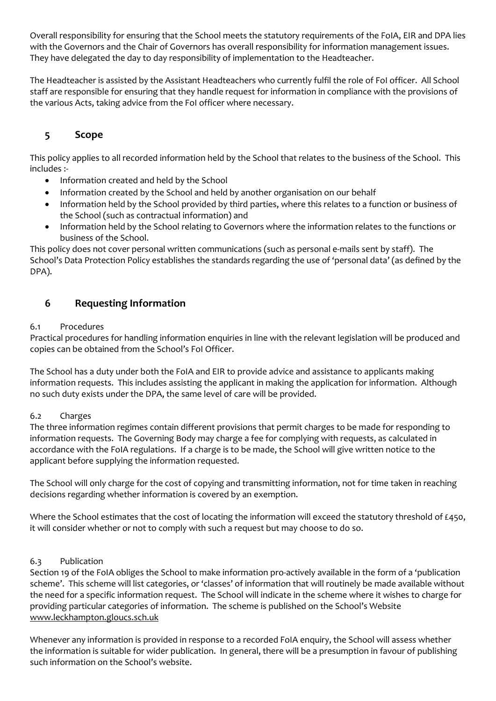Overall responsibility for ensuring that the School meets the statutory requirements of the FoIA, EIR and DPA lies with the Governors and the Chair of Governors has overall responsibility for information management issues. They have delegated the day to day responsibility of implementation to the Headteacher.

The Headteacher is assisted by the Assistant Headteachers who currently fulfil the role of FoI officer. All School staff are responsible for ensuring that they handle request for information in compliance with the provisions of the various Acts, taking advice from the FoI officer where necessary.

# **5 Scope**

This policy applies to all recorded information held by the School that relates to the business of the School. This includes :-

- Information created and held by the School
- Information created by the School and held by another organisation on our behalf
- Information held by the School provided by third parties, where this relates to a function or business of the School (such as contractual information) and
- Information held by the School relating to Governors where the information relates to the functions or business of the School.

This policy does not cover personal written communications (such as personal e-mails sent by staff). The School's Data Protection Policy establishes the standards regarding the use of 'personal data' (as defined by the DPA).

# **6 Requesting Information**

#### 6.1 Procedures

Practical procedures for handling information enquiries in line with the relevant legislation will be produced and copies can be obtained from the School's FoI Officer.

The School has a duty under both the FoIA and EIR to provide advice and assistance to applicants making information requests. This includes assisting the applicant in making the application for information. Although no such duty exists under the DPA, the same level of care will be provided.

#### 6.2 Charges

The three information regimes contain different provisions that permit charges to be made for responding to information requests. The Governing Body may charge a fee for complying with requests, as calculated in accordance with the FoIA regulations. If a charge is to be made, the School will give written notice to the applicant before supplying the information requested.

The School will only charge for the cost of copying and transmitting information, not for time taken in reaching decisions regarding whether information is covered by an exemption.

Where the School estimates that the cost of locating the information will exceed the statutory threshold of £450, it will consider whether or not to comply with such a request but may choose to do so.

#### 6.3 Publication

Section 19 of the FoIA obliges the School to make information pro-actively available in the form of a 'publication scheme'. This scheme will list categories, or 'classes' of information that will routinely be made available without the need for a specific information request. The School will indicate in the scheme where it wishes to charge for providing particular categories of information. The scheme is published on the School's Website [www.leckhampton.gloucs.sch.uk](http://www.leckhampton.gloucs.sch.uk/)

Whenever any information is provided in response to a recorded FoIA enquiry, the School will assess whether the information is suitable for wider publication. In general, there will be a presumption in favour of publishing such information on the School's website.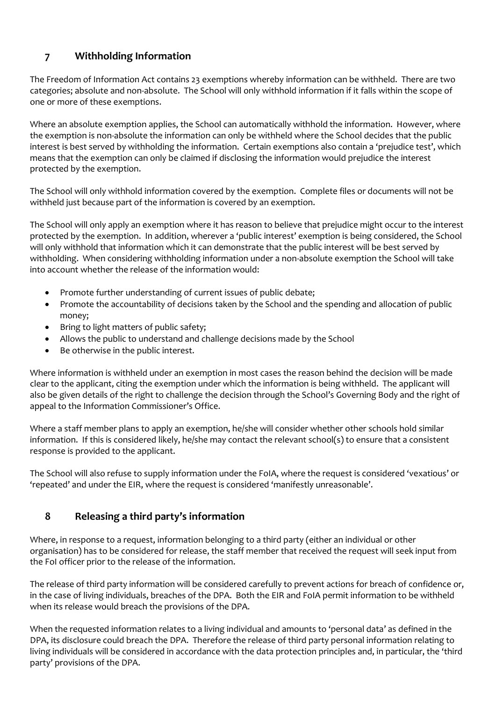# **7 Withholding Information**

The Freedom of Information Act contains 23 exemptions whereby information can be withheld. There are two categories; absolute and non-absolute. The School will only withhold information if it falls within the scope of one or more of these exemptions.

Where an absolute exemption applies, the School can automatically withhold the information. However, where the exemption is non-absolute the information can only be withheld where the School decides that the public interest is best served by withholding the information. Certain exemptions also contain a 'prejudice test', which means that the exemption can only be claimed if disclosing the information would prejudice the interest protected by the exemption.

The School will only withhold information covered by the exemption. Complete files or documents will not be withheld just because part of the information is covered by an exemption.

The School will only apply an exemption where it has reason to believe that prejudice might occur to the interest protected by the exemption. In addition, wherever a 'public interest' exemption is being considered, the School will only withhold that information which it can demonstrate that the public interest will be best served by withholding. When considering withholding information under a non-absolute exemption the School will take into account whether the release of the information would:

- Promote further understanding of current issues of public debate;
- Promote the accountability of decisions taken by the School and the spending and allocation of public money;
- Bring to light matters of public safety;
- Allows the public to understand and challenge decisions made by the School
- Be otherwise in the public interest.

Where information is withheld under an exemption in most cases the reason behind the decision will be made clear to the applicant, citing the exemption under which the information is being withheld. The applicant will also be given details of the right to challenge the decision through the School's Governing Body and the right of appeal to the Information Commissioner's Office.

Where a staff member plans to apply an exemption, he/she will consider whether other schools hold similar information. If this is considered likely, he/she may contact the relevant school(s) to ensure that a consistent response is provided to the applicant.

The School will also refuse to supply information under the FoIA, where the request is considered 'vexatious' or 'repeated' and under the EIR, where the request is considered 'manifestly unreasonable'.

# **8 Releasing a third party's information**

Where, in response to a request, information belonging to a third party (either an individual or other organisation) has to be considered for release, the staff member that received the request will seek input from the FoI officer prior to the release of the information.

The release of third party information will be considered carefully to prevent actions for breach of confidence or, in the case of living individuals, breaches of the DPA. Both the EIR and FoIA permit information to be withheld when its release would breach the provisions of the DPA.

When the requested information relates to a living individual and amounts to 'personal data' as defined in the DPA, its disclosure could breach the DPA. Therefore the release of third party personal information relating to living individuals will be considered in accordance with the data protection principles and, in particular, the 'third party' provisions of the DPA.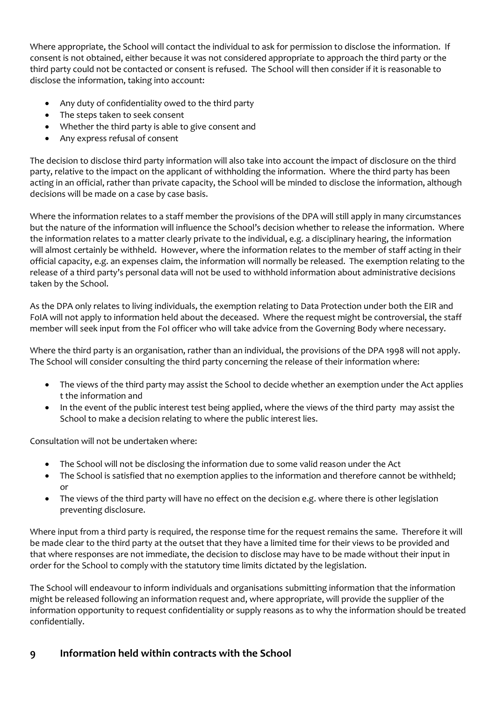Where appropriate, the School will contact the individual to ask for permission to disclose the information. If consent is not obtained, either because it was not considered appropriate to approach the third party or the third party could not be contacted or consent is refused. The School will then consider if it is reasonable to disclose the information, taking into account:

- Any duty of confidentiality owed to the third party
- The steps taken to seek consent
- Whether the third party is able to give consent and
- Any express refusal of consent

The decision to disclose third party information will also take into account the impact of disclosure on the third party, relative to the impact on the applicant of withholding the information. Where the third party has been acting in an official, rather than private capacity, the School will be minded to disclose the information, although decisions will be made on a case by case basis.

Where the information relates to a staff member the provisions of the DPA will still apply in many circumstances but the nature of the information will influence the School's decision whether to release the information. Where the information relates to a matter clearly private to the individual, e.g. a disciplinary hearing, the information will almost certainly be withheld. However, where the information relates to the member of staff acting in their official capacity, e.g. an expenses claim, the information will normally be released. The exemption relating to the release of a third party's personal data will not be used to withhold information about administrative decisions taken by the School.

As the DPA only relates to living individuals, the exemption relating to Data Protection under both the EIR and FoIA will not apply to information held about the deceased. Where the request might be controversial, the staff member will seek input from the FoI officer who will take advice from the Governing Body where necessary.

Where the third party is an organisation, rather than an individual, the provisions of the DPA 1998 will not apply. The School will consider consulting the third party concerning the release of their information where:

- The views of the third party may assist the School to decide whether an exemption under the Act applies t the information and
- In the event of the public interest test being applied, where the views of the third party may assist the School to make a decision relating to where the public interest lies.

Consultation will not be undertaken where:

- The School will not be disclosing the information due to some valid reason under the Act
- The School is satisfied that no exemption applies to the information and therefore cannot be withheld; or
- The views of the third party will have no effect on the decision e.g. where there is other legislation preventing disclosure.

Where input from a third party is required, the response time for the request remains the same. Therefore it will be made clear to the third party at the outset that they have a limited time for their views to be provided and that where responses are not immediate, the decision to disclose may have to be made without their input in order for the School to comply with the statutory time limits dictated by the legislation.

The School will endeavour to inform individuals and organisations submitting information that the information might be released following an information request and, where appropriate, will provide the supplier of the information opportunity to request confidentiality or supply reasons as to why the information should be treated confidentially.

# **9 Information held within contracts with the School**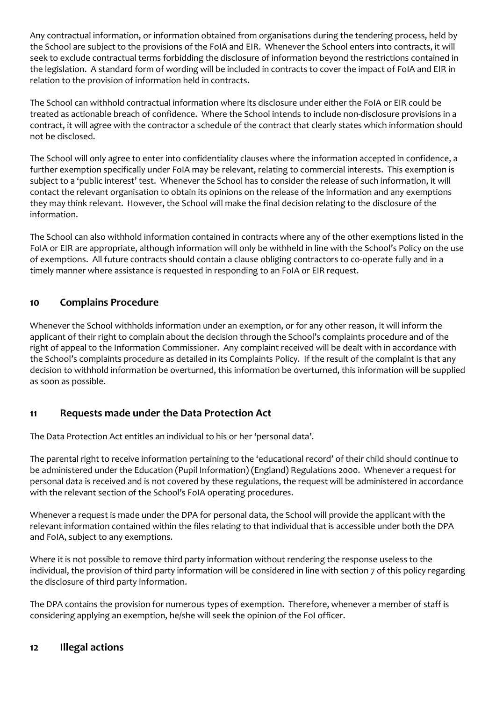Any contractual information, or information obtained from organisations during the tendering process, held by the School are subject to the provisions of the FoIA and EIR. Whenever the School enters into contracts, it will seek to exclude contractual terms forbidding the disclosure of information beyond the restrictions contained in the legislation. A standard form of wording will be included in contracts to cover the impact of FoIA and EIR in relation to the provision of information held in contracts.

The School can withhold contractual information where its disclosure under either the FoIA or EIR could be treated as actionable breach of confidence. Where the School intends to include non-disclosure provisions in a contract, it will agree with the contractor a schedule of the contract that clearly states which information should not be disclosed.

The School will only agree to enter into confidentiality clauses where the information accepted in confidence, a further exemption specifically under FoIA may be relevant, relating to commercial interests. This exemption is subject to a 'public interest' test. Whenever the School has to consider the release of such information, it will contact the relevant organisation to obtain its opinions on the release of the information and any exemptions they may think relevant. However, the School will make the final decision relating to the disclosure of the information.

The School can also withhold information contained in contracts where any of the other exemptions listed in the FoIA or EIR are appropriate, although information will only be withheld in line with the School's Policy on the use of exemptions. All future contracts should contain a clause obliging contractors to co-operate fully and in a timely manner where assistance is requested in responding to an FoIA or EIR request.

# **10 Complains Procedure**

Whenever the School withholds information under an exemption, or for any other reason, it will inform the applicant of their right to complain about the decision through the School's complaints procedure and of the right of appeal to the Information Commissioner. Any complaint received will be dealt with in accordance with the School's complaints procedure as detailed in its Complaints Policy. If the result of the complaint is that any decision to withhold information be overturned, this information be overturned, this information will be supplied as soon as possible.

# **11 Requests made under the Data Protection Act**

The Data Protection Act entitles an individual to his or her 'personal data'.

The parental right to receive information pertaining to the 'educational record' of their child should continue to be administered under the Education (Pupil Information) (England) Regulations 2000. Whenever a request for personal data is received and is not covered by these regulations, the request will be administered in accordance with the relevant section of the School's FoIA operating procedures.

Whenever a request is made under the DPA for personal data, the School will provide the applicant with the relevant information contained within the files relating to that individual that is accessible under both the DPA and FoIA, subject to any exemptions.

Where it is not possible to remove third party information without rendering the response useless to the individual, the provision of third party information will be considered in line with section 7 of this policy regarding the disclosure of third party information.

The DPA contains the provision for numerous types of exemption. Therefore, whenever a member of staff is considering applying an exemption, he/she will seek the opinion of the FoI officer.

# **12 Illegal actions**